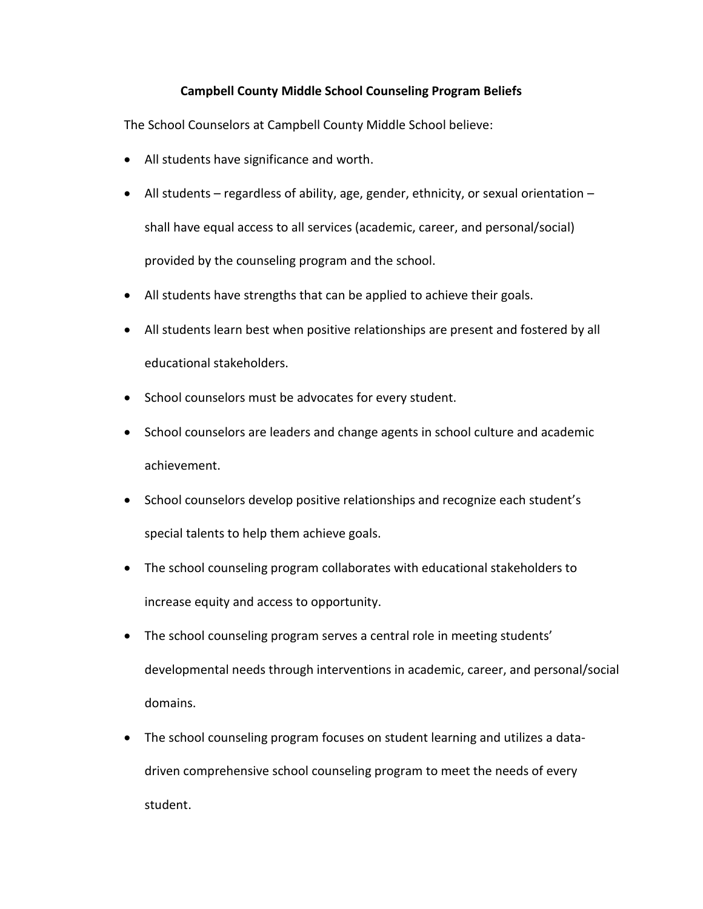## **Campbell County Middle School Counseling Program Beliefs**

The School Counselors at Campbell County Middle School believe:

- All students have significance and worth.
- All students regardless of ability, age, gender, ethnicity, or sexual orientation shall have equal access to all services (academic, career, and personal/social) provided by the counseling program and the school.
- All students have strengths that can be applied to achieve their goals.
- All students learn best when positive relationships are present and fostered by all educational stakeholders.
- School counselors must be advocates for every student.
- School counselors are leaders and change agents in school culture and academic achievement.
- School counselors develop positive relationships and recognize each student's special talents to help them achieve goals.
- The school counseling program collaborates with educational stakeholders to increase equity and access to opportunity.
- The school counseling program serves a central role in meeting students' developmental needs through interventions in academic, career, and personal/social domains.
- The school counseling program focuses on student learning and utilizes a datadriven comprehensive school counseling program to meet the needs of every student.